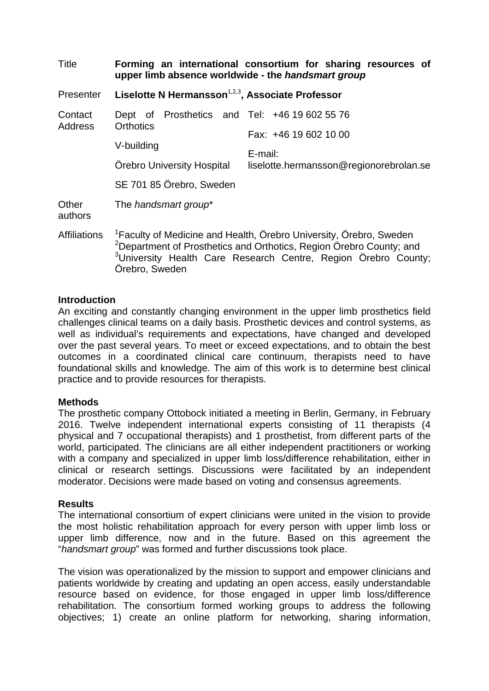| Title                     | upper limb absence worldwide - the handsmart group                                                                                                                                                                                                                | Forming an international consortium for sharing resources of                |
|---------------------------|-------------------------------------------------------------------------------------------------------------------------------------------------------------------------------------------------------------------------------------------------------------------|-----------------------------------------------------------------------------|
| <b>Presenter</b>          | Liselotte N Hermansson <sup>1,2,3</sup> , Associate Professor                                                                                                                                                                                                     |                                                                             |
| Contact<br><b>Address</b> | Dept of Prosthetics and Tel: +46 19 602 55 76<br><b>Orthotics</b><br>V-building<br>Orebro University Hospital<br>SE 701 85 Örebro, Sweden                                                                                                                         | Fax: +46 19 602 10 00<br>E-mail:<br>liselotte.hermansson@regionorebrolan.se |
| Other<br>authors          | The handsmart group*                                                                                                                                                                                                                                              |                                                                             |
| <b>Affiliations</b>       | <sup>1</sup> Faculty of Medicine and Health, Örebro University, Örebro, Sweden<br><sup>2</sup> Department of Prosthetics and Orthotics, Region Örebro County; and<br><sup>3</sup> University Health Care Research Centre, Region Örebro County;<br>Örebro, Sweden |                                                                             |

# **Introduction**

An exciting and constantly changing environment in the upper limb prosthetics field challenges clinical teams on a daily basis. Prosthetic devices and control systems, as well as individual's requirements and expectations, have changed and developed over the past several years. To meet or exceed expectations, and to obtain the best outcomes in a coordinated clinical care continuum, therapists need to have foundational skills and knowledge. The aim of this work is to determine best clinical practice and to provide resources for therapists.

## **Methods**

The prosthetic company Ottobock initiated a meeting in Berlin, Germany, in February 2016. Twelve independent international experts consisting of 11 therapists (4 physical and 7 occupational therapists) and 1 prosthetist, from different parts of the world, participated. The clinicians are all either independent practitioners or working with a company and specialized in upper limb loss/difference rehabilitation, either in clinical or research settings. Discussions were facilitated by an independent moderator. Decisions were made based on voting and consensus agreements.

## **Results**

The international consortium of expert clinicians were united in the vision to provide the most holistic rehabilitation approach for every person with upper limb loss or upper limb difference, now and in the future. Based on this agreement the "*handsmart group*" was formed and further discussions took place.

The vision was operationalized by the mission to support and empower clinicians and patients worldwide by creating and updating an open access, easily understandable resource based on evidence, for those engaged in upper limb loss/difference rehabilitation. The consortium formed working groups to address the following objectives; 1) create an online platform for networking, sharing information,